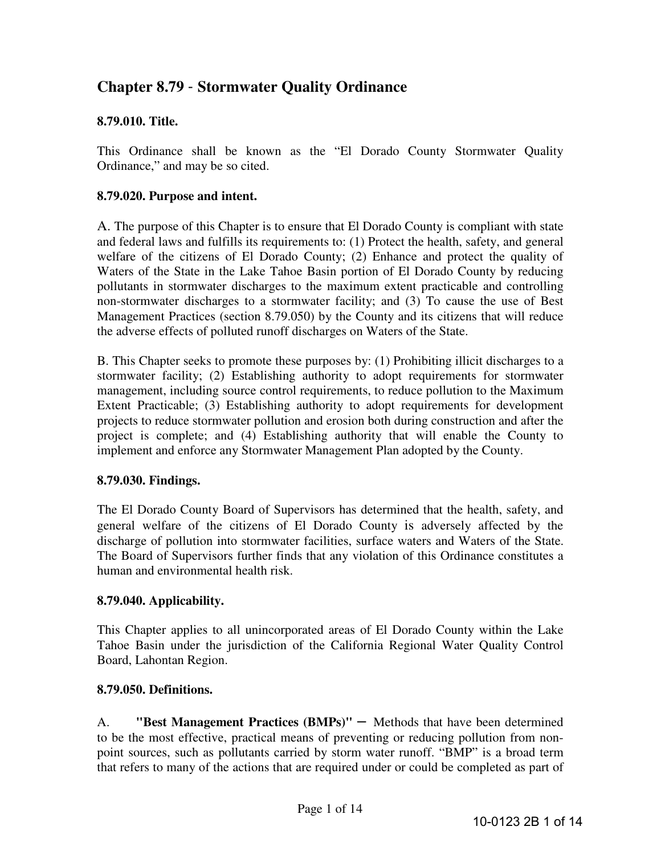# **Chapter 8.79** - **Stormwater Quality Ordinance**

### **8.79.010. Title.**

This Ordinance shall be known as the "El Dorado County Stormwater Quality Ordinance," and may be so cited.

#### **8.79.020. Purpose and intent.**

A. The purpose of this Chapter is to ensure that El Dorado County is compliant with state and federal laws and fulfills its requirements to: (1) Protect the health, safety, and general welfare of the citizens of El Dorado County; (2) Enhance and protect the quality of Waters of the State in the Lake Tahoe Basin portion of El Dorado County by reducing pollutants in stormwater discharges to the maximum extent practicable and controlling non-stormwater discharges to a stormwater facility; and (3) To cause the use of Best Management Practices (section 8.79.050) by the County and its citizens that will reduce the adverse effects of polluted runoff discharges on Waters of the State.

B. This Chapter seeks to promote these purposes by: (1) Prohibiting illicit discharges to a stormwater facility; (2) Establishing authority to adopt requirements for stormwater management, including source control requirements, to reduce pollution to the Maximum Extent Practicable; (3) Establishing authority to adopt requirements for development projects to reduce stormwater pollution and erosion both during construction and after the project is complete; and (4) Establishing authority that will enable the County to implement and enforce any Stormwater Management Plan adopted by the County.

#### **8.79.030. Findings.**

The El Dorado County Board of Supervisors has determined that the health, safety, and general welfare of the citizens of El Dorado County is adversely affected by the discharge of pollution into stormwater facilities, surface waters and Waters of the State. The Board of Supervisors further finds that any violation of this Ordinance constitutes a human and environmental health risk.

### **8.79.040. Applicability.**

This Chapter applies to all unincorporated areas of El Dorado County within the Lake Tahoe Basin under the jurisdiction of the California Regional Water Quality Control Board, Lahontan Region.

#### **8.79.050. Definitions.**

A. **"Best Management Practices (BMPs)"** – Methods that have been determined to be the most effective, practical means of preventing or reducing pollution from nonpoint sources, such as pollutants carried by storm water runoff. "BMP" is a broad term that refers to many of the actions that are required under or could be completed as part of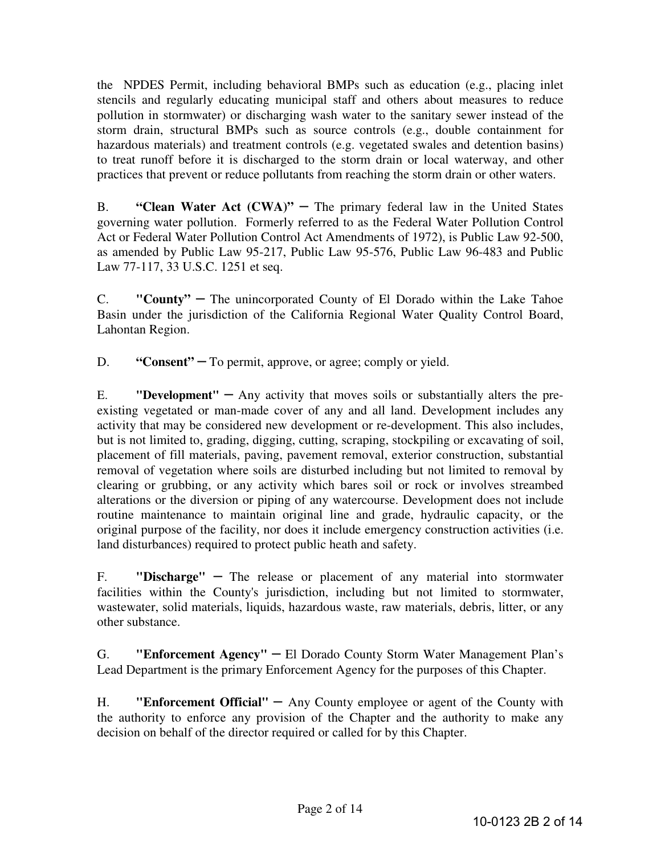the NPDES Permit, including behavioral BMPs such as education (e.g., placing inlet stencils and regularly educating municipal staff and others about measures to reduce pollution in stormwater) or discharging wash water to the sanitary sewer instead of the storm drain, structural BMPs such as source controls (e.g., double containment for hazardous materials) and treatment controls (e.g. vegetated swales and detention basins) to treat runoff before it is discharged to the storm drain or local waterway, and other practices that prevent or reduce pollutants from reaching the storm drain or other waters.

B. **"Clean Water Act (CWA)"** – The primary federal law in the United States governing water pollution. Formerly referred to as the Federal Water Pollution Control Act or Federal Water Pollution Control Act Amendments of 1972), is Public Law 92-500, as amended by Public Law 95-217, Public Law 95-576, Public Law 96-483 and Public Law 77-117, 33 U.S.C. 1251 et seq.

C. **"County"** – The unincorporated County of El Dorado within the Lake Tahoe Basin under the jurisdiction of the California Regional Water Quality Control Board, Lahontan Region.

D. **"Consent"** – To permit, approve, or agree; comply or yield.

E. **"Development"** – Any activity that moves soils or substantially alters the preexisting vegetated or man-made cover of any and all land. Development includes any activity that may be considered new development or re-development. This also includes, but is not limited to, grading, digging, cutting, scraping, stockpiling or excavating of soil, placement of fill materials, paving, pavement removal, exterior construction, substantial removal of vegetation where soils are disturbed including but not limited to removal by clearing or grubbing, or any activity which bares soil or rock or involves streambed alterations or the diversion or piping of any watercourse. Development does not include routine maintenance to maintain original line and grade, hydraulic capacity, or the original purpose of the facility, nor does it include emergency construction activities (i.e. land disturbances) required to protect public heath and safety.

F. **"Discharge"** – The release or placement of any material into stormwater facilities within the County's jurisdiction, including but not limited to stormwater, wastewater, solid materials, liquids, hazardous waste, raw materials, debris, litter, or any other substance.

G. **"Enforcement Agency"** – El Dorado County Storm Water Management Plan's Lead Department is the primary Enforcement Agency for the purposes of this Chapter.

H. **"Enforcement Official"** – Any County employee or agent of the County with the authority to enforce any provision of the Chapter and the authority to make any decision on behalf of the director required or called for by this Chapter.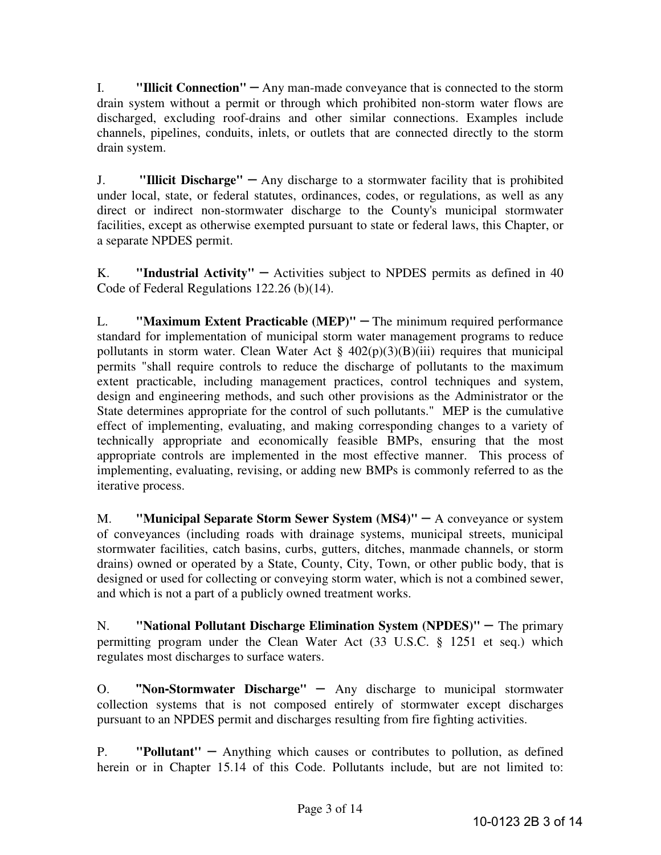I. **"Illicit Connection"** – Any man-made conveyance that is connected to the storm drain system without a permit or through which prohibited non-storm water flows are discharged, excluding roof-drains and other similar connections. Examples include channels, pipelines, conduits, inlets, or outlets that are connected directly to the storm drain system.

J. **"Illicit Discharge"** – Any discharge to a stormwater facility that is prohibited under local, state, or federal statutes, ordinances, codes, or regulations, as well as any direct or indirect non-stormwater discharge to the County's municipal stormwater facilities, except as otherwise exempted pursuant to state or federal laws, this Chapter, or a separate NPDES permit.

K. **"Industrial Activity"** – Activities subject to NPDES permits as defined in 40 Code of Federal Regulations 122.26 (b)(14).

L. **"Maximum Extent Practicable (MEP)"** – The minimum required performance standard for implementation of municipal storm water management programs to reduce pollutants in storm water. Clean Water Act  $\S$  402(p)(3)(B)(iii) requires that municipal permits "shall require controls to reduce the discharge of pollutants to the maximum extent practicable, including management practices, control techniques and system, design and engineering methods, and such other provisions as the Administrator or the State determines appropriate for the control of such pollutants." MEP is the cumulative effect of implementing, evaluating, and making corresponding changes to a variety of technically appropriate and economically feasible BMPs, ensuring that the most appropriate controls are implemented in the most effective manner. This process of implementing, evaluating, revising, or adding new BMPs is commonly referred to as the iterative process.

M. **"Municipal Separate Storm Sewer System (MS4)"** – A conveyance or system of conveyances (including roads with drainage systems, municipal streets, municipal stormwater facilities, catch basins, curbs, gutters, ditches, manmade channels, or storm drains) owned or operated by a State, County, City, Town, or other public body, that is designed or used for collecting or conveying storm water, which is not a combined sewer, and which is not a part of a publicly owned treatment works.

N. **"National Pollutant Discharge Elimination System (NPDES)"** – The primary permitting program under the Clean Water Act (33 U.S.C. § 1251 et seq.) which regulates most discharges to surface waters.

O. **"Non-Stormwater Discharge"** – Any discharge to municipal stormwater collection systems that is not composed entirely of stormwater except discharges pursuant to an NPDES permit and discharges resulting from fire fighting activities.

P. **"Pollutant''** – Anything which causes or contributes to pollution, as defined herein or in Chapter 15.14 of this Code. Pollutants include, but are not limited to: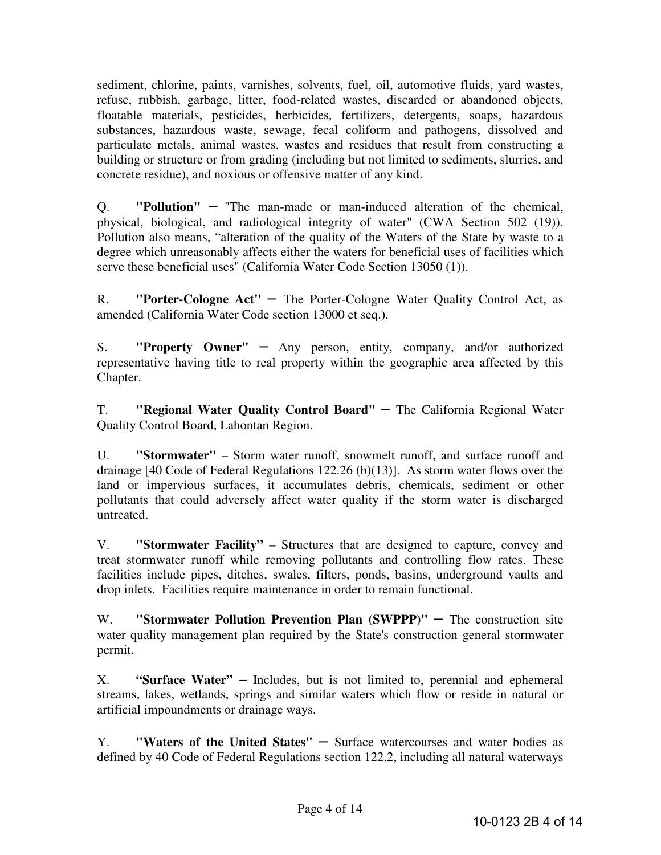sediment, chlorine, paints, varnishes, solvents, fuel, oil, automotive fluids, yard wastes, refuse, rubbish, garbage, litter, food-related wastes, discarded or abandoned objects, floatable materials, pesticides, herbicides, fertilizers, detergents, soaps, hazardous substances, hazardous waste, sewage, fecal coliform and pathogens, dissolved and particulate metals, animal wastes, wastes and residues that result from constructing a building or structure or from grading (including but not limited to sediments, slurries, and concrete residue), and noxious or offensive matter of any kind.

Q. **"Pollution"** – "The man-made or man-induced alteration of the chemical, physical, biological, and radiological integrity of water" (CWA Section 502 (19)). Pollution also means, "alteration of the quality of the Waters of the State by waste to a degree which unreasonably affects either the waters for beneficial uses of facilities which serve these beneficial uses" (California Water Code Section 13050 (1)).

R. **"Porter-Cologne Act"** – The Porter-Cologne Water Quality Control Act, as amended (California Water Code section 13000 et seq.).

S. **"Property Owner"** – Any person, entity, company, and/or authorized representative having title to real property within the geographic area affected by this Chapter.

T. **"Regional Water Quality Control Board"** – The California Regional Water Quality Control Board, Lahontan Region.

U. **"Stormwater"** – Storm water runoff, snowmelt runoff, and surface runoff and drainage [40 Code of Federal Regulations 122.26 (b)(13)]. As storm water flows over the land or impervious surfaces, it accumulates debris, chemicals, sediment or other pollutants that could adversely affect water quality if the storm water is discharged untreated.

V. **"Stormwater Facility"** – Structures that are designed to capture, convey and treat stormwater runoff while removing pollutants and controlling flow rates. These facilities include pipes, ditches, swales, filters, ponds, basins, underground vaults and drop inlets. Facilities require maintenance in order to remain functional.

W. **"Stormwater Pollution Prevention Plan (SWPPP)"** – The construction site water quality management plan required by the State's construction general stormwater permit.

X. **"Surface Water"** – Includes, but is not limited to, perennial and ephemeral streams, lakes, wetlands, springs and similar waters which flow or reside in natural or artificial impoundments or drainage ways.

Y. **"Waters of the United States"** – Surface watercourses and water bodies as defined by 40 Code of Federal Regulations section 122.2, including all natural waterways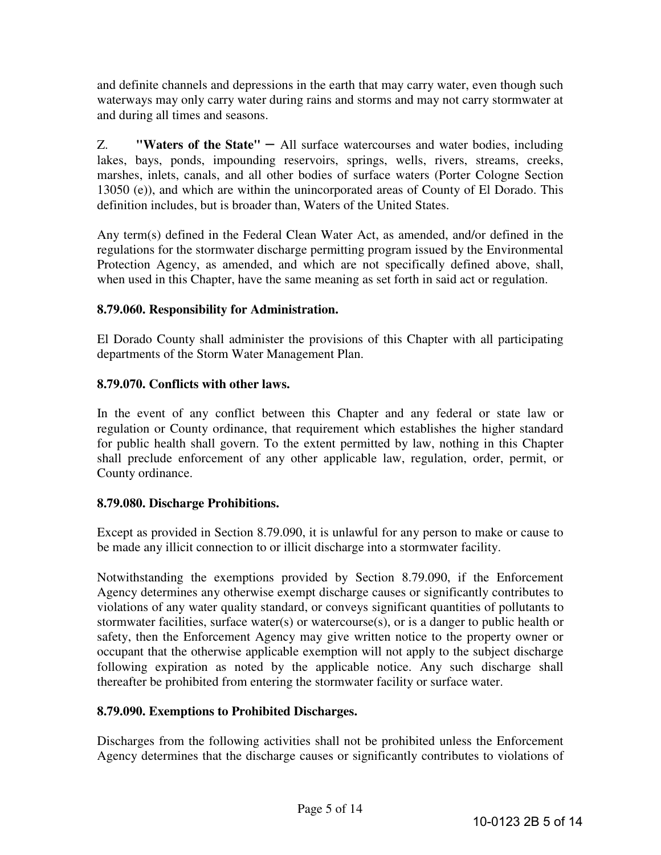and definite channels and depressions in the earth that may carry water, even though such waterways may only carry water during rains and storms and may not carry stormwater at and during all times and seasons.

Z. **"Waters of the State"** – All surface watercourses and water bodies, including lakes, bays, ponds, impounding reservoirs, springs, wells, rivers, streams, creeks, marshes, inlets, canals, and all other bodies of surface waters (Porter Cologne Section 13050 (e)), and which are within the unincorporated areas of County of El Dorado. This definition includes, but is broader than, Waters of the United States.

Any term(s) defined in the Federal Clean Water Act, as amended, and/or defined in the regulations for the stormwater discharge permitting program issued by the Environmental Protection Agency, as amended, and which are not specifically defined above, shall, when used in this Chapter, have the same meaning as set forth in said act or regulation.

# **8.79.060. Responsibility for Administration.**

El Dorado County shall administer the provisions of this Chapter with all participating departments of the Storm Water Management Plan.

# **8.79.070. Conflicts with other laws.**

In the event of any conflict between this Chapter and any federal or state law or regulation or County ordinance, that requirement which establishes the higher standard for public health shall govern. To the extent permitted by law, nothing in this Chapter shall preclude enforcement of any other applicable law, regulation, order, permit, or County ordinance.

### **8.79.080. Discharge Prohibitions.**

Except as provided in Section 8.79.090, it is unlawful for any person to make or cause to be made any illicit connection to or illicit discharge into a stormwater facility.

Notwithstanding the exemptions provided by Section 8.79.090, if the Enforcement Agency determines any otherwise exempt discharge causes or significantly contributes to violations of any water quality standard, or conveys significant quantities of pollutants to stormwater facilities, surface water(s) or watercourse(s), or is a danger to public health or safety, then the Enforcement Agency may give written notice to the property owner or occupant that the otherwise applicable exemption will not apply to the subject discharge following expiration as noted by the applicable notice. Any such discharge shall thereafter be prohibited from entering the stormwater facility or surface water.

# **8.79.090. Exemptions to Prohibited Discharges.**

Discharges from the following activities shall not be prohibited unless the Enforcement Agency determines that the discharge causes or significantly contributes to violations of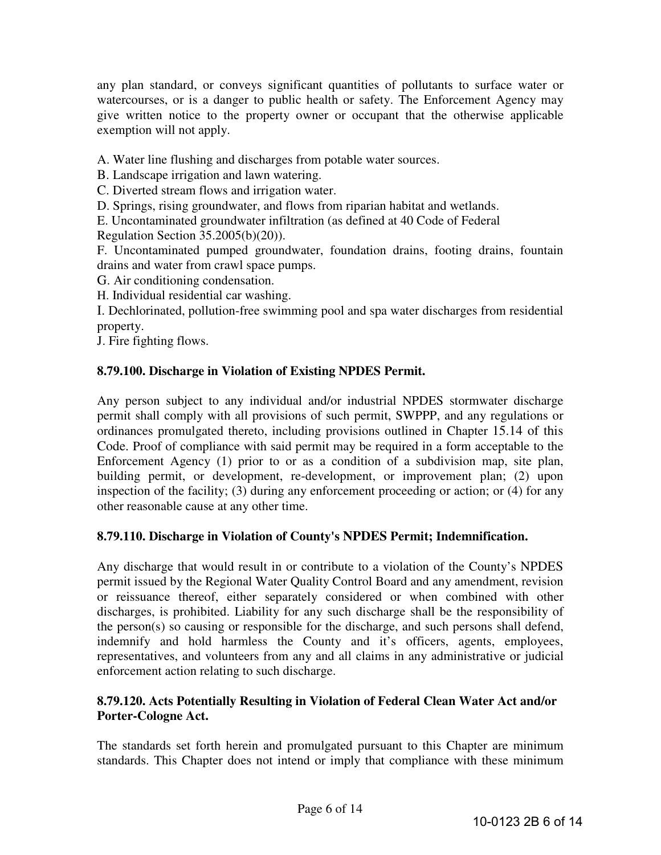any plan standard, or conveys significant quantities of pollutants to surface water or watercourses, or is a danger to public health or safety. The Enforcement Agency may give written notice to the property owner or occupant that the otherwise applicable exemption will not apply.

A. Water line flushing and discharges from potable water sources.

B. Landscape irrigation and lawn watering.

C. Diverted stream flows and irrigation water.

D. Springs, rising groundwater, and flows from riparian habitat and wetlands.

E. Uncontaminated groundwater infiltration (as defined at 40 Code of Federal

Regulation Section  $35.2005(b)(20)$ ).

F. Uncontaminated pumped groundwater, foundation drains, footing drains, fountain drains and water from crawl space pumps.

G. Air conditioning condensation.

H. Individual residential car washing.

I. Dechlorinated, pollution-free swimming pool and spa water discharges from residential property.

J. Fire fighting flows.

### **8.79.100. Discharge in Violation of Existing NPDES Permit.**

Any person subject to any individual and/or industrial NPDES stormwater discharge permit shall comply with all provisions of such permit, SWPPP, and any regulations or ordinances promulgated thereto, including provisions outlined in Chapter 15.14 of this Code. Proof of compliance with said permit may be required in a form acceptable to the Enforcement Agency (1) prior to or as a condition of a subdivision map, site plan, building permit, or development, re-development, or improvement plan; (2) upon inspection of the facility; (3) during any enforcement proceeding or action; or (4) for any other reasonable cause at any other time.

### **8.79.110. Discharge in Violation of County's NPDES Permit; Indemnification.**

Any discharge that would result in or contribute to a violation of the County's NPDES permit issued by the Regional Water Quality Control Board and any amendment, revision or reissuance thereof, either separately considered or when combined with other discharges, is prohibited. Liability for any such discharge shall be the responsibility of the person(s) so causing or responsible for the discharge, and such persons shall defend, indemnify and hold harmless the County and it's officers, agents, employees, representatives, and volunteers from any and all claims in any administrative or judicial enforcement action relating to such discharge.

### **8.79.120. Acts Potentially Resulting in Violation of Federal Clean Water Act and/or Porter-Cologne Act.**

The standards set forth herein and promulgated pursuant to this Chapter are minimum standards. This Chapter does not intend or imply that compliance with these minimum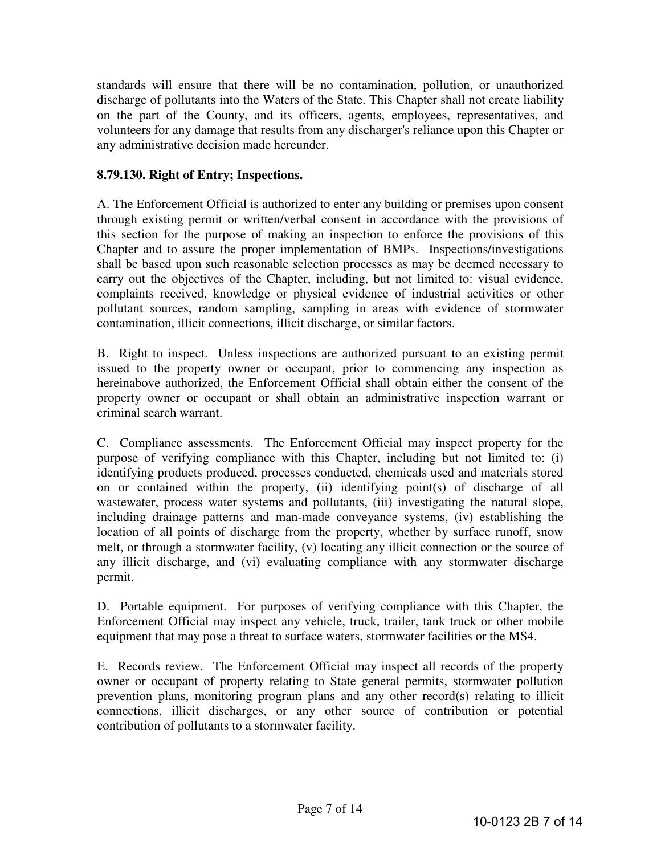standards will ensure that there will be no contamination, pollution, or unauthorized discharge of pollutants into the Waters of the State. This Chapter shall not create liability on the part of the County, and its officers, agents, employees, representatives, and volunteers for any damage that results from any discharger's reliance upon this Chapter or any administrative decision made hereunder.

# **8.79.130. Right of Entry; Inspections.**

A. The Enforcement Official is authorized to enter any building or premises upon consent through existing permit or written/verbal consent in accordance with the provisions of this section for the purpose of making an inspection to enforce the provisions of this Chapter and to assure the proper implementation of BMPs. Inspections/investigations shall be based upon such reasonable selection processes as may be deemed necessary to carry out the objectives of the Chapter, including, but not limited to: visual evidence, complaints received, knowledge or physical evidence of industrial activities or other pollutant sources, random sampling, sampling in areas with evidence of stormwater contamination, illicit connections, illicit discharge, or similar factors.

B. Right to inspect. Unless inspections are authorized pursuant to an existing permit issued to the property owner or occupant, prior to commencing any inspection as hereinabove authorized, the Enforcement Official shall obtain either the consent of the property owner or occupant or shall obtain an administrative inspection warrant or criminal search warrant.

C. Compliance assessments. The Enforcement Official may inspect property for the purpose of verifying compliance with this Chapter, including but not limited to: (i) identifying products produced, processes conducted, chemicals used and materials stored on or contained within the property, (ii) identifying point(s) of discharge of all wastewater, process water systems and pollutants, (iii) investigating the natural slope, including drainage patterns and man-made conveyance systems, (iv) establishing the location of all points of discharge from the property, whether by surface runoff, snow melt, or through a stormwater facility, (v) locating any illicit connection or the source of any illicit discharge, and (vi) evaluating compliance with any stormwater discharge permit.

D. Portable equipment. For purposes of verifying compliance with this Chapter, the Enforcement Official may inspect any vehicle, truck, trailer, tank truck or other mobile equipment that may pose a threat to surface waters, stormwater facilities or the MS4.

E. Records review. The Enforcement Official may inspect all records of the property owner or occupant of property relating to State general permits, stormwater pollution prevention plans, monitoring program plans and any other record(s) relating to illicit connections, illicit discharges, or any other source of contribution or potential contribution of pollutants to a stormwater facility.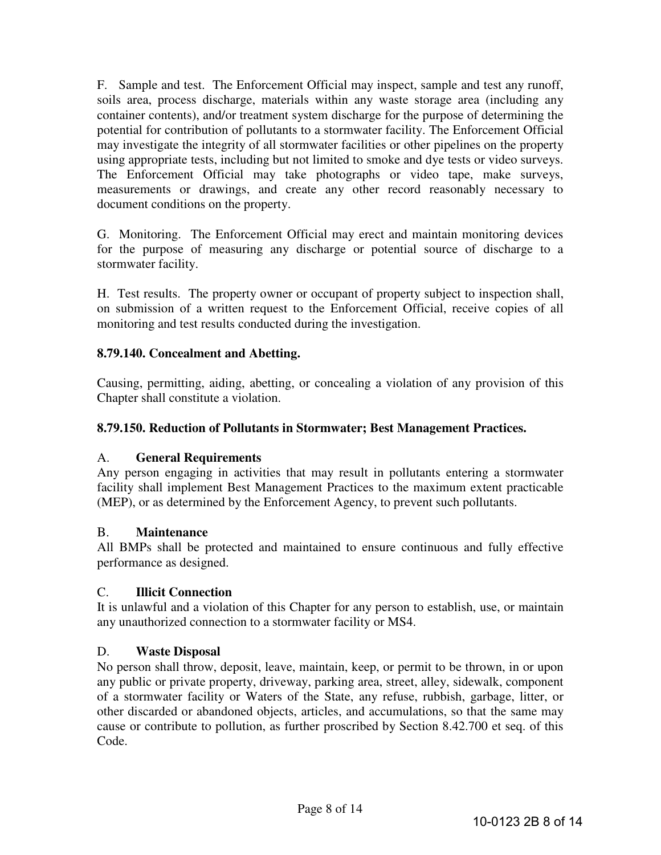F. Sample and test. The Enforcement Official may inspect, sample and test any runoff, soils area, process discharge, materials within any waste storage area (including any container contents), and/or treatment system discharge for the purpose of determining the potential for contribution of pollutants to a stormwater facility. The Enforcement Official may investigate the integrity of all stormwater facilities or other pipelines on the property using appropriate tests, including but not limited to smoke and dye tests or video surveys. The Enforcement Official may take photographs or video tape, make surveys, measurements or drawings, and create any other record reasonably necessary to document conditions on the property.

G. Monitoring. The Enforcement Official may erect and maintain monitoring devices for the purpose of measuring any discharge or potential source of discharge to a stormwater facility.

H. Test results. The property owner or occupant of property subject to inspection shall, on submission of a written request to the Enforcement Official, receive copies of all monitoring and test results conducted during the investigation.

# **8.79.140. Concealment and Abetting.**

Causing, permitting, aiding, abetting, or concealing a violation of any provision of this Chapter shall constitute a violation.

# **8.79.150. Reduction of Pollutants in Stormwater; Best Management Practices.**

### A. **General Requirements**

Any person engaging in activities that may result in pollutants entering a stormwater facility shall implement Best Management Practices to the maximum extent practicable (MEP), or as determined by the Enforcement Agency, to prevent such pollutants.

### B. **Maintenance**

All BMPs shall be protected and maintained to ensure continuous and fully effective performance as designed.

### C. **Illicit Connection**

It is unlawful and a violation of this Chapter for any person to establish, use, or maintain any unauthorized connection to a stormwater facility or MS4.

### D. **Waste Disposal**

No person shall throw, deposit, leave, maintain, keep, or permit to be thrown, in or upon any public or private property, driveway, parking area, street, alley, sidewalk, component of a stormwater facility or Waters of the State, any refuse, rubbish, garbage, litter, or other discarded or abandoned objects, articles, and accumulations, so that the same may cause or contribute to pollution, as further proscribed by Section 8.42.700 et seq. of this Code.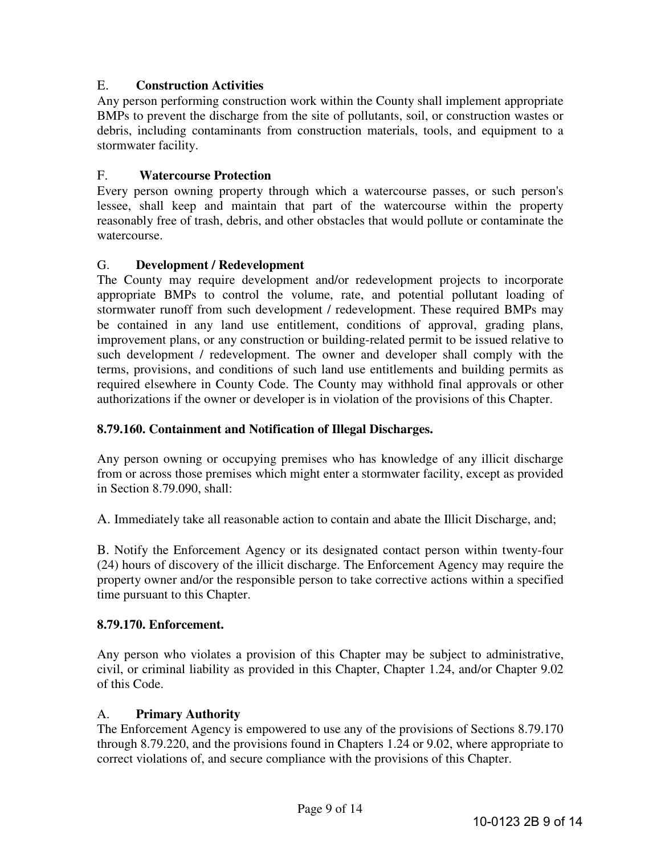# E. **Construction Activities**

Any person performing construction work within the County shall implement appropriate BMPs to prevent the discharge from the site of pollutants, soil, or construction wastes or debris, including contaminants from construction materials, tools, and equipment to a stormwater facility.

# F. **Watercourse Protection**

Every person owning property through which a watercourse passes, or such person's lessee, shall keep and maintain that part of the watercourse within the property reasonably free of trash, debris, and other obstacles that would pollute or contaminate the watercourse.

### G. **Development / Redevelopment**

The County may require development and/or redevelopment projects to incorporate appropriate BMPs to control the volume, rate, and potential pollutant loading of stormwater runoff from such development / redevelopment. These required BMPs may be contained in any land use entitlement, conditions of approval, grading plans, improvement plans, or any construction or building-related permit to be issued relative to such development / redevelopment. The owner and developer shall comply with the terms, provisions, and conditions of such land use entitlements and building permits as required elsewhere in County Code. The County may withhold final approvals or other authorizations if the owner or developer is in violation of the provisions of this Chapter.

### **8.79.160. Containment and Notification of Illegal Discharges.**

Any person owning or occupying premises who has knowledge of any illicit discharge from or across those premises which might enter a stormwater facility, except as provided in Section 8.79.090, shall:

A. Immediately take all reasonable action to contain and abate the Illicit Discharge, and;

B. Notify the Enforcement Agency or its designated contact person within twenty-four (24) hours of discovery of the illicit discharge. The Enforcement Agency may require the property owner and/or the responsible person to take corrective actions within a specified time pursuant to this Chapter.

### **8.79.170. Enforcement.**

Any person who violates a provision of this Chapter may be subject to administrative, civil, or criminal liability as provided in this Chapter, Chapter 1.24, and/or Chapter 9.02 of this Code.

#### A. **Primary Authority**

The Enforcement Agency is empowered to use any of the provisions of Sections 8.79.170 through 8.79.220, and the provisions found in Chapters 1.24 or 9.02, where appropriate to correct violations of, and secure compliance with the provisions of this Chapter.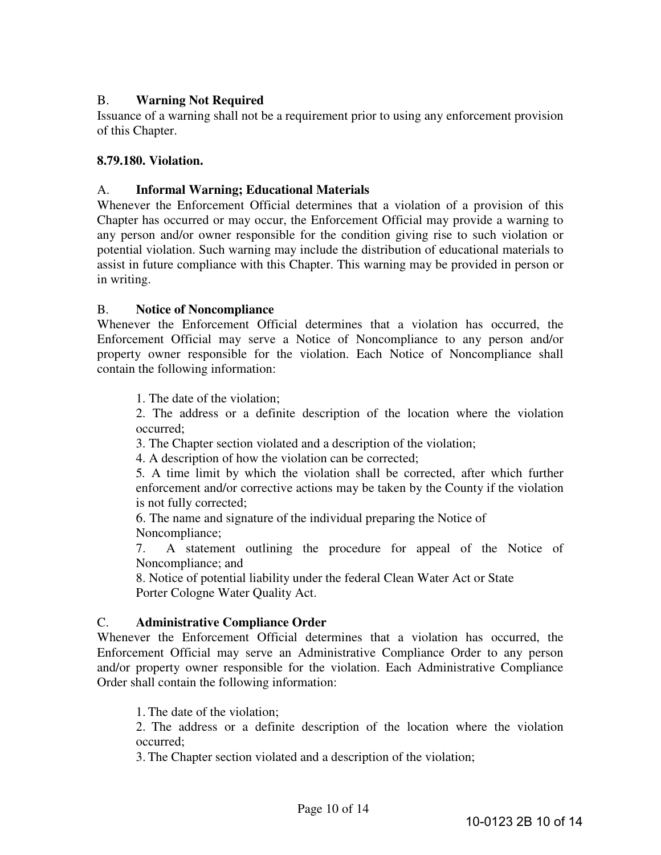# B. **Warning Not Required**

Issuance of a warning shall not be a requirement prior to using any enforcement provision of this Chapter.

#### **8.79.180. Violation.**

#### A. **Informal Warning; Educational Materials**

Whenever the Enforcement Official determines that a violation of a provision of this Chapter has occurred or may occur, the Enforcement Official may provide a warning to any person and/or owner responsible for the condition giving rise to such violation or potential violation. Such warning may include the distribution of educational materials to assist in future compliance with this Chapter. This warning may be provided in person or in writing.

#### B. **Notice of Noncompliance**

Whenever the Enforcement Official determines that a violation has occurred, the Enforcement Official may serve a Notice of Noncompliance to any person and/or property owner responsible for the violation. Each Notice of Noncompliance shall contain the following information:

1. The date of the violation;

2. The address or a definite description of the location where the violation occurred;

3. The Chapter section violated and a description of the violation;

4. A description of how the violation can be corrected;

5*.* A time limit by which the violation shall be corrected, after which further enforcement and/or corrective actions may be taken by the County if the violation is not fully corrected;

6. The name and signature of the individual preparing the Notice of Noncompliance;

7. A statement outlining the procedure for appeal of the Notice of Noncompliance; and

8. Notice of potential liability under the federal Clean Water Act or State Porter Cologne Water Quality Act.

#### C. **Administrative Compliance Order**

Whenever the Enforcement Official determines that a violation has occurred, the Enforcement Official may serve an Administrative Compliance Order to any person and/or property owner responsible for the violation. Each Administrative Compliance Order shall contain the following information:

1. The date of the violation;

2. The address or a definite description of the location where the violation occurred;

3. The Chapter section violated and a description of the violation;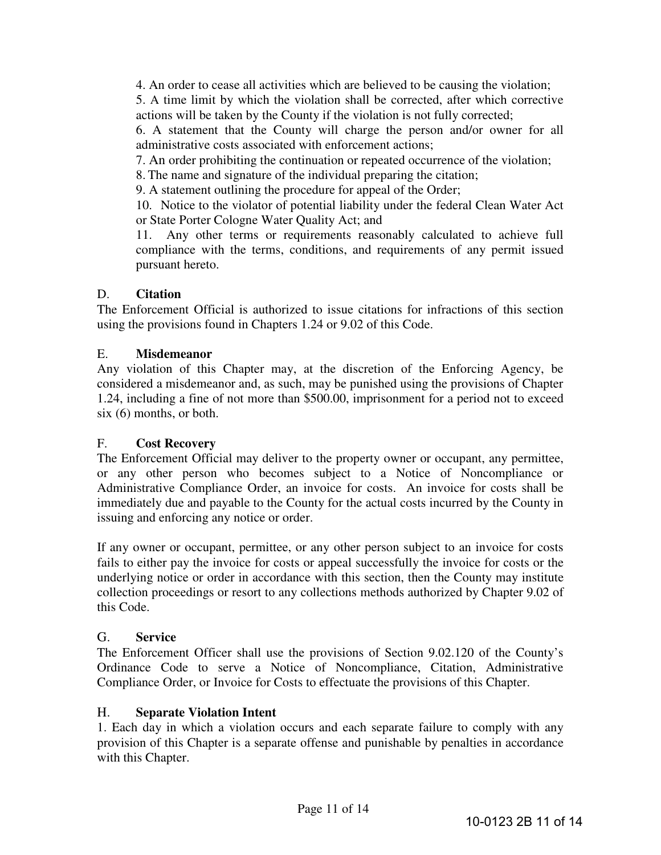4. An order to cease all activities which are believed to be causing the violation;

5. A time limit by which the violation shall be corrected, after which corrective actions will be taken by the County if the violation is not fully corrected;

6. A statement that the County will charge the person and/or owner for all administrative costs associated with enforcement actions;

7. An order prohibiting the continuation or repeated occurrence of the violation;

8. The name and signature of the individual preparing the citation;

9. A statement outlining the procedure for appeal of the Order;

10. Notice to the violator of potential liability under the federal Clean Water Act or State Porter Cologne Water Quality Act; and

11. Any other terms or requirements reasonably calculated to achieve full compliance with the terms, conditions, and requirements of any permit issued pursuant hereto.

# D. **Citation**

The Enforcement Official is authorized to issue citations for infractions of this section using the provisions found in Chapters 1.24 or 9.02 of this Code.

### E. **Misdemeanor**

Any violation of this Chapter may, at the discretion of the Enforcing Agency, be considered a misdemeanor and, as such, may be punished using the provisions of Chapter 1.24, including a fine of not more than \$500.00, imprisonment for a period not to exceed six (6) months, or both.

### F. **Cost Recovery**

The Enforcement Official may deliver to the property owner or occupant, any permittee, or any other person who becomes subject to a Notice of Noncompliance or Administrative Compliance Order, an invoice for costs. An invoice for costs shall be immediately due and payable to the County for the actual costs incurred by the County in issuing and enforcing any notice or order.

If any owner or occupant, permittee, or any other person subject to an invoice for costs fails to either pay the invoice for costs or appeal successfully the invoice for costs or the underlying notice or order in accordance with this section, then the County may institute collection proceedings or resort to any collections methods authorized by Chapter 9.02 of this Code.

### G. **Service**

The Enforcement Officer shall use the provisions of Section 9.02.120 of the County's Ordinance Code to serve a Notice of Noncompliance, Citation, Administrative Compliance Order, or Invoice for Costs to effectuate the provisions of this Chapter.

#### H. **Separate Violation Intent**

1. Each day in which a violation occurs and each separate failure to comply with any provision of this Chapter is a separate offense and punishable by penalties in accordance with this Chapter.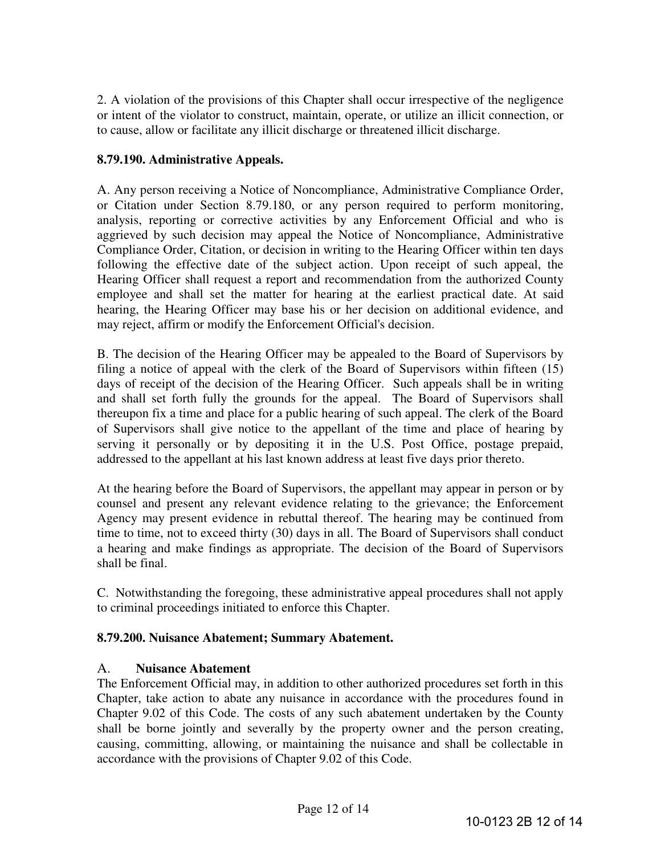2. A violation of the provisions of this Chapter shall occur irrespective of the negligence or intent of the violator to construct, maintain, operate, or utilize an illicit connection, or to cause, allow or facilitate any illicit discharge or threatened illicit discharge.

# **8.79.190. Administrative Appeals.**

A. Any person receiving a Notice of Noncompliance, Administrative Compliance Order, or Citation under Section 8.79.180, or any person required to perform monitoring, analysis, reporting or corrective activities by any Enforcement Official and who is aggrieved by such decision may appeal the Notice of Noncompliance, Administrative Compliance Order, Citation, or decision in writing to the Hearing Officer within ten days following the effective date of the subject action. Upon receipt of such appeal, the Hearing Officer shall request a report and recommendation from the authorized County employee and shall set the matter for hearing at the earliest practical date. At said hearing, the Hearing Officer may base his or her decision on additional evidence, and may reject, affirm or modify the Enforcement Official's decision.

B. The decision of the Hearing Officer may be appealed to the Board of Supervisors by filing a notice of appeal with the clerk of the Board of Supervisors within fifteen (15) days of receipt of the decision of the Hearing Officer. Such appeals shall be in writing and shall set forth fully the grounds for the appeal. The Board of Supervisors shall thereupon fix a time and place for a public hearing of such appeal. The clerk of the Board of Supervisors shall give notice to the appellant of the time and place of hearing by serving it personally or by depositing it in the U.S. Post Office, postage prepaid, addressed to the appellant at his last known address at least five days prior thereto.

At the hearing before the Board of Supervisors, the appellant may appear in person or by counsel and present any relevant evidence relating to the grievance; the Enforcement Agency may present evidence in rebuttal thereof. The hearing may be continued from time to time, not to exceed thirty (30) days in all. The Board of Supervisors shall conduct a hearing and make findings as appropriate. The decision of the Board of Supervisors shall be final.

C. Notwithstanding the foregoing, these administrative appeal procedures shall not apply to criminal proceedings initiated to enforce this Chapter.

### **8.79.200. Nuisance Abatement; Summary Abatement.**

### A. **Nuisance Abatement**

The Enforcement Official may, in addition to other authorized procedures set forth in this Chapter, take action to abate any nuisance in accordance with the procedures found in Chapter 9.02 of this Code. The costs of any such abatement undertaken by the County shall be borne jointly and severally by the property owner and the person creating, causing, committing, allowing, or maintaining the nuisance and shall be collectable in accordance with the provisions of Chapter 9.02 of this Code.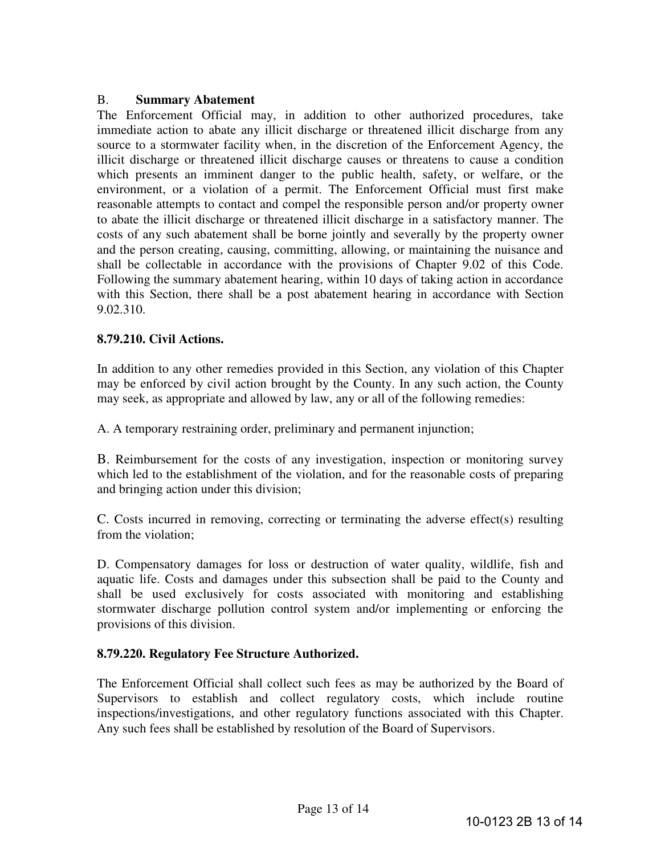#### B. **Summary Abatement**

The Enforcement Official may, in addition to other authorized procedures, take immediate action to abate any illicit discharge or threatened illicit discharge from any source to a stormwater facility when, in the discretion of the Enforcement Agency, the illicit discharge or threatened illicit discharge causes or threatens to cause a condition which presents an imminent danger to the public health, safety, or welfare, or the environment, or a violation of a permit. The Enforcement Official must first make reasonable attempts to contact and compel the responsible person and/or property owner to abate the illicit discharge or threatened illicit discharge in a satisfactory manner. The costs of any such abatement shall be borne jointly and severally by the property owner and the person creating, causing, committing, allowing, or maintaining the nuisance and shall be collectable in accordance with the provisions of Chapter 9.02 of this Code. Following the summary abatement hearing, within 10 days of taking action in accordance with this Section, there shall be a post abatement hearing in accordance with Section 9.02.310.

#### **8.79.210. Civil Actions.**

In addition to any other remedies provided in this Section, any violation of this Chapter may be enforced by civil action brought by the County. In any such action, the County may seek, as appropriate and allowed by law, any or all of the following remedies:

A. A temporary restraining order, preliminary and permanent injunction;

B. Reimbursement for the costs of any investigation, inspection or monitoring survey which led to the establishment of the violation, and for the reasonable costs of preparing and bringing action under this division;

C. Costs incurred in removing, correcting or terminating the adverse effect(s) resulting from the violation;

D. Compensatory damages for loss or destruction of water quality, wildlife, fish and aquatic life. Costs and damages under this subsection shall be paid to the County and shall be used exclusively for costs associated with monitoring and establishing stormwater discharge pollution control system and/or implementing or enforcing the provisions of this division.

### **8.79.220. Regulatory Fee Structure Authorized.**

The Enforcement Official shall collect such fees as may be authorized by the Board of Supervisors to establish and collect regulatory costs, which include routine inspections/investigations, and other regulatory functions associated with this Chapter. Any such fees shall be established by resolution of the Board of Supervisors.